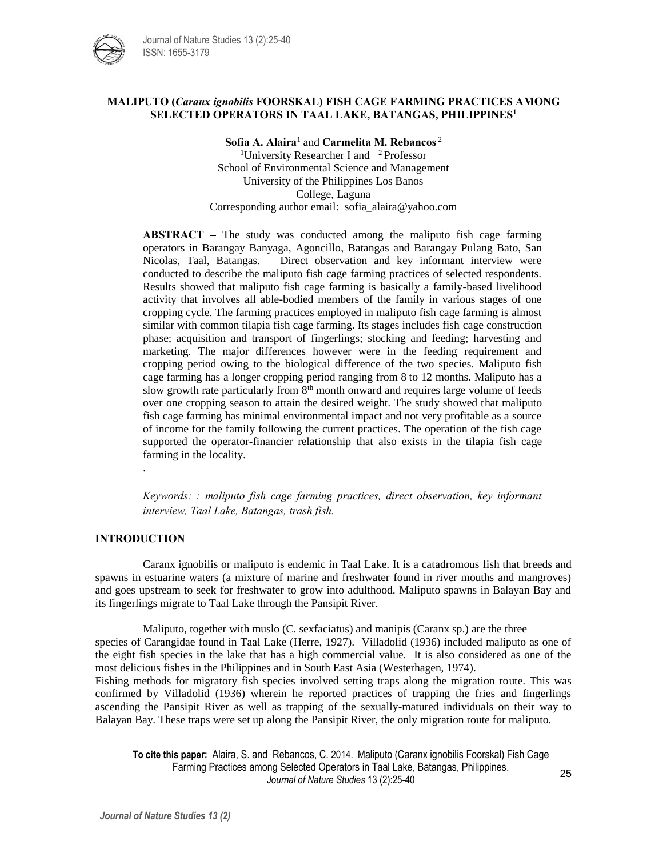

## **MALIPUTO (***Caranx ignobilis* **FOORSKAL) FISH CAGE FARMING PRACTICES AMONG SELECTED OPERATORS IN TAAL LAKE, BATANGAS, PHILIPPINES<sup>1</sup>**

**Sofia A. Alaira**<sup>1</sup> and **Carmelita M. Rebancos** <sup>2</sup> <sup>1</sup>University Researcher I and  $\mathrm{^{2}$  Professor School of Environmental Science and Management University of the Philippines Los Banos College, Laguna Corresponding author email: sofia\_alaira@yahoo.com

**ABSTRACT –** The study was conducted among the maliputo fish cage farming operators in Barangay Banyaga, Agoncillo, Batangas and Barangay Pulang Bato, San Nicolas, Taal, Batangas. Direct observation and key informant interview were conducted to describe the maliputo fish cage farming practices of selected respondents. Results showed that maliputo fish cage farming is basically a family-based livelihood activity that involves all able-bodied members of the family in various stages of one cropping cycle. The farming practices employed in maliputo fish cage farming is almost similar with common tilapia fish cage farming. Its stages includes fish cage construction phase; acquisition and transport of fingerlings; stocking and feeding; harvesting and marketing. The major differences however were in the feeding requirement and cropping period owing to the biological difference of the two species. Maliputo fish cage farming has a longer cropping period ranging from 8 to 12 months. Maliputo has a slow growth rate particularly from 8<sup>th</sup> month onward and requires large volume of feeds over one cropping season to attain the desired weight. The study showed that maliputo fish cage farming has minimal environmental impact and not very profitable as a source of income for the family following the current practices. The operation of the fish cage supported the operator-financier relationship that also exists in the tilapia fish cage farming in the locality.

*Keywords: : maliputo fish cage farming practices, direct observation, key informant interview, Taal Lake, Batangas, trash fish.*

# **INTRODUCTION**

.

Caranx ignobilis or maliputo is endemic in Taal Lake. It is a catadromous fish that breeds and spawns in estuarine waters (a mixture of marine and freshwater found in river mouths and mangroves) and goes upstream to seek for freshwater to grow into adulthood. Maliputo spawns in Balayan Bay and its fingerlings migrate to Taal Lake through the Pansipit River.

Maliputo, together with muslo (C. sexfaciatus) and manipis (Caranx sp.) are the three species of Carangidae found in Taal Lake (Herre, 1927). Villadolid (1936) included maliputo as one of the eight fish species in the lake that has a high commercial value. It is also considered as one of the most delicious fishes in the Philippines and in South East Asia (Westerhagen, 1974).

Fishing methods for migratory fish species involved setting traps along the migration route. This was confirmed by Villadolid (1936) wherein he reported practices of trapping the fries and fingerlings ascending the Pansipit River as well as trapping of the sexually-matured individuals on their way to Balayan Bay. These traps were set up along the Pansipit River, the only migration route for maliputo.

**To cite this paper:** Alaira, S. and Rebancos, C. 2014. Maliputo (Caranx ignobilis Foorskal) Fish Cage Farming Practices among Selected Operators in Taal Lake, Batangas, Philippines. *Journal of Nature Studies* 13 (2):25-40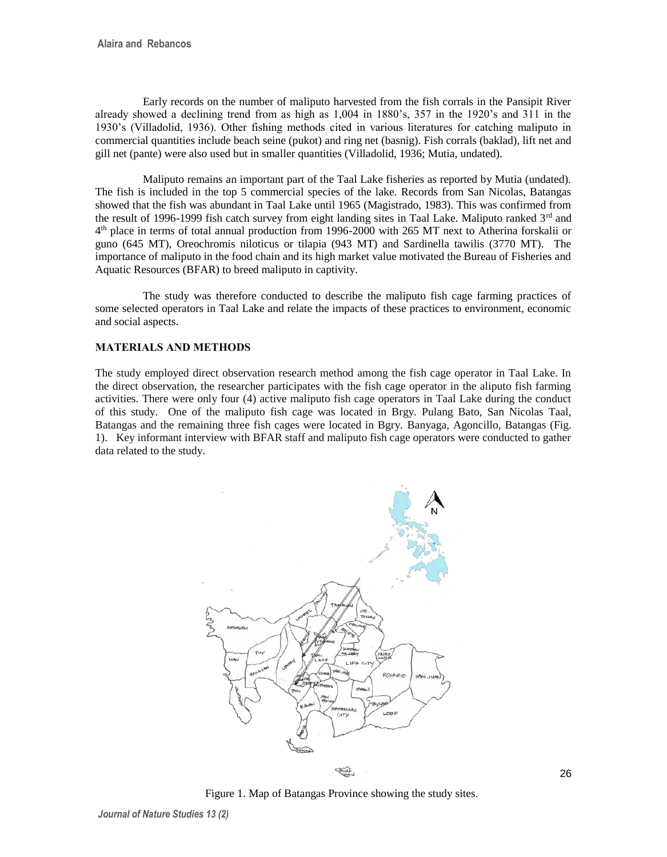Early records on the number of maliputo harvested from the fish corrals in the Pansipit River already showed a declining trend from as high as 1,004 in 1880's, 357 in the 1920's and 311 in the 1930's (Villadolid, 1936). Other fishing methods cited in various literatures for catching maliputo in commercial quantities include beach seine (pukot) and ring net (basnig). Fish corrals (baklad), lift net and gill net (pante) were also used but in smaller quantities (Villadolid, 1936; Mutia, undated).

Maliputo remains an important part of the Taal Lake fisheries as reported by Mutia (undated). The fish is included in the top 5 commercial species of the lake. Records from San Nicolas, Batangas showed that the fish was abundant in Taal Lake until 1965 (Magistrado, 1983). This was confirmed from the result of 1996-1999 fish catch survey from eight landing sites in Taal Lake. Maliputo ranked  $3<sup>rd</sup>$  and 4<sup>th</sup> place in terms of total annual production from 1996-2000 with 265 MT next to Atherina forskalii or guno (645 MT), Oreochromis niloticus or tilapia (943 MT) and Sardinella tawilis (3770 MT). The importance of maliputo in the food chain and its high market value motivated the Bureau of Fisheries and Aquatic Resources (BFAR) to breed maliputo in captivity.

The study was therefore conducted to describe the maliputo fish cage farming practices of some selected operators in Taal Lake and relate the impacts of these practices to environment, economic and social aspects.

# **MATERIALS AND METHODS**

The study employed direct observation research method among the fish cage operator in Taal Lake. In the direct observation, the researcher participates with the fish cage operator in the aliputo fish farming activities. There were only four (4) active maliputo fish cage operators in Taal Lake during the conduct of this study. One of the maliputo fish cage was located in Brgy. Pulang Bato, San Nicolas Taal, Batangas and the remaining three fish cages were located in Bgry. Banyaga, Agoncillo, Batangas (Fig. 1). Key informant interview with BFAR staff and maliputo fish cage operators were conducted to gather data related to the study.



Figure 1. Map of Batangas Province showing the study sites.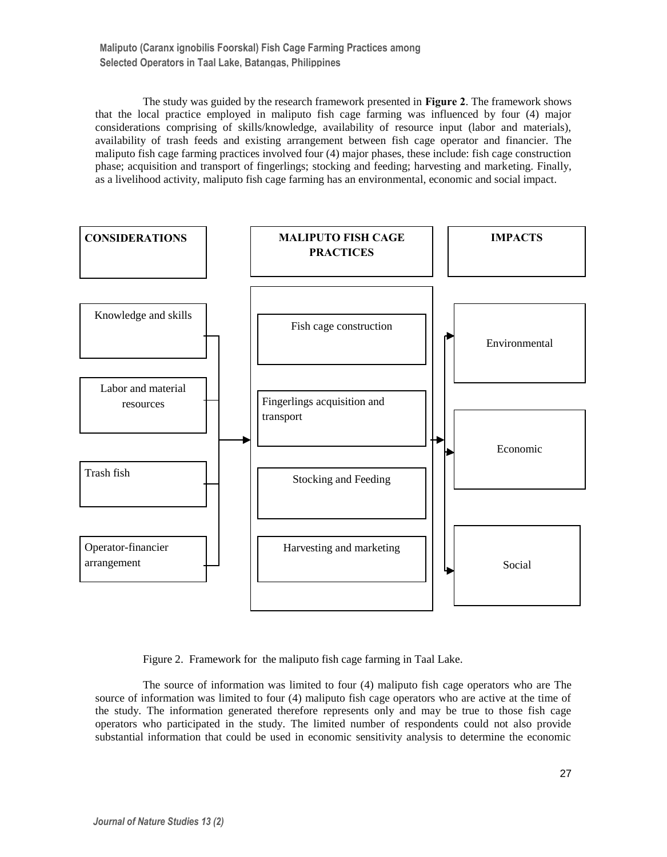The study was guided by the research framework presented in **Figure 2**. The framework shows that the local practice employed in maliputo fish cage farming was influenced by four (4) major considerations comprising of skills/knowledge, availability of resource input (labor and materials), availability of trash feeds and existing arrangement between fish cage operator and financier. The maliputo fish cage farming practices involved four (4) major phases, these include: fish cage construction phase; acquisition and transport of fingerlings; stocking and feeding; harvesting and marketing. Finally, as a livelihood activity, maliputo fish cage farming has an environmental, economic and social impact.



Figure 2. Framework for the maliputo fish cage farming in Taal Lake.

The source of information was limited to four (4) maliputo fish cage operators who are The source of information was limited to four (4) maliputo fish cage operators who are active at the time of the study. The information generated therefore represents only and may be true to those fish cage operators who participated in the study. The limited number of respondents could not also provide substantial information that could be used in economic sensitivity analysis to determine the economic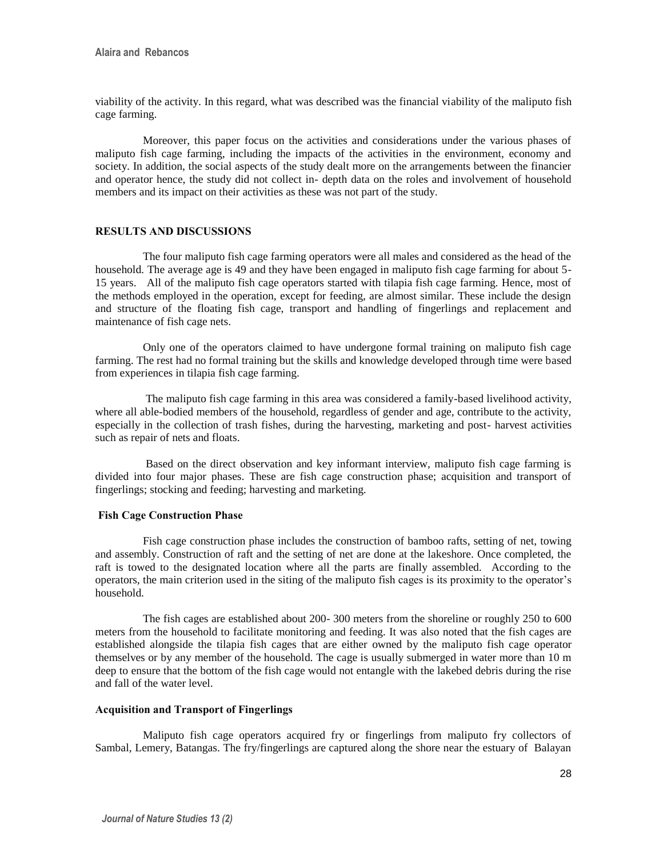viability of the activity. In this regard, what was described was the financial viability of the maliputo fish cage farming.

Moreover, this paper focus on the activities and considerations under the various phases of maliputo fish cage farming, including the impacts of the activities in the environment, economy and society. In addition, the social aspects of the study dealt more on the arrangements between the financier and operator hence, the study did not collect in- depth data on the roles and involvement of household members and its impact on their activities as these was not part of the study.

### **RESULTS AND DISCUSSIONS**

The four maliputo fish cage farming operators were all males and considered as the head of the household. The average age is 49 and they have been engaged in maliputo fish cage farming for about 5- 15 years. All of the maliputo fish cage operators started with tilapia fish cage farming. Hence, most of the methods employed in the operation, except for feeding, are almost similar. These include the design and structure of the floating fish cage, transport and handling of fingerlings and replacement and maintenance of fish cage nets.

Only one of the operators claimed to have undergone formal training on maliputo fish cage farming. The rest had no formal training but the skills and knowledge developed through time were based from experiences in tilapia fish cage farming.

The maliputo fish cage farming in this area was considered a family-based livelihood activity, where all able-bodied members of the household, regardless of gender and age, contribute to the activity, especially in the collection of trash fishes, during the harvesting, marketing and post- harvest activities such as repair of nets and floats.

Based on the direct observation and key informant interview, maliputo fish cage farming is divided into four major phases. These are fish cage construction phase; acquisition and transport of fingerlings; stocking and feeding; harvesting and marketing.

## **Fish Cage Construction Phase**

Fish cage construction phase includes the construction of bamboo rafts, setting of net, towing and assembly. Construction of raft and the setting of net are done at the lakeshore. Once completed, the raft is towed to the designated location where all the parts are finally assembled. According to the operators, the main criterion used in the siting of the maliputo fish cages is its proximity to the operator's household.

The fish cages are established about 200- 300 meters from the shoreline or roughly 250 to 600 meters from the household to facilitate monitoring and feeding. It was also noted that the fish cages are established alongside the tilapia fish cages that are either owned by the maliputo fish cage operator themselves or by any member of the household. The cage is usually submerged in water more than 10 m deep to ensure that the bottom of the fish cage would not entangle with the lakebed debris during the rise and fall of the water level.

### **Acquisition and Transport of Fingerlings**

Maliputo fish cage operators acquired fry or fingerlings from maliputo fry collectors of Sambal, Lemery, Batangas. The fry/fingerlings are captured along the shore near the estuary of Balayan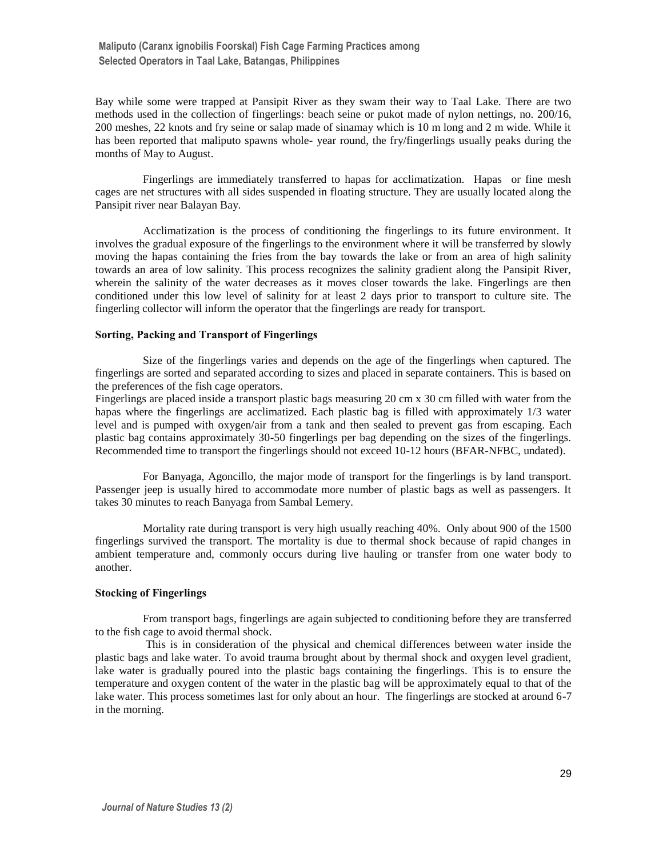Bay while some were trapped at Pansipit River as they swam their way to Taal Lake. There are two methods used in the collection of fingerlings: beach seine or pukot made of nylon nettings, no. 200/16, 200 meshes, 22 knots and fry seine or salap made of sinamay which is 10 m long and 2 m wide. While it has been reported that maliputo spawns whole- year round, the fry/fingerlings usually peaks during the months of May to August.

Fingerlings are immediately transferred to hapas for acclimatization. Hapas or fine mesh cages are net structures with all sides suspended in floating structure. They are usually located along the Pansipit river near Balayan Bay.

Acclimatization is the process of conditioning the fingerlings to its future environment. It involves the gradual exposure of the fingerlings to the environment where it will be transferred by slowly moving the hapas containing the fries from the bay towards the lake or from an area of high salinity towards an area of low salinity. This process recognizes the salinity gradient along the Pansipit River, wherein the salinity of the water decreases as it moves closer towards the lake. Fingerlings are then conditioned under this low level of salinity for at least 2 days prior to transport to culture site. The fingerling collector will inform the operator that the fingerlings are ready for transport.

## **Sorting, Packing and Transport of Fingerlings**

Size of the fingerlings varies and depends on the age of the fingerlings when captured. The fingerlings are sorted and separated according to sizes and placed in separate containers. This is based on the preferences of the fish cage operators.

Fingerlings are placed inside a transport plastic bags measuring 20 cm x 30 cm filled with water from the hapas where the fingerlings are acclimatized. Each plastic bag is filled with approximately 1/3 water level and is pumped with oxygen/air from a tank and then sealed to prevent gas from escaping. Each plastic bag contains approximately 30-50 fingerlings per bag depending on the sizes of the fingerlings. Recommended time to transport the fingerlings should not exceed 10-12 hours (BFAR-NFBC, undated).

For Banyaga, Agoncillo, the major mode of transport for the fingerlings is by land transport. Passenger jeep is usually hired to accommodate more number of plastic bags as well as passengers. It takes 30 minutes to reach Banyaga from Sambal Lemery.

Mortality rate during transport is very high usually reaching 40%. Only about 900 of the 1500 fingerlings survived the transport. The mortality is due to thermal shock because of rapid changes in ambient temperature and, commonly occurs during live hauling or transfer from one water body to another.

#### **Stocking of Fingerlings**

From transport bags, fingerlings are again subjected to conditioning before they are transferred to the fish cage to avoid thermal shock.

This is in consideration of the physical and chemical differences between water inside the plastic bags and lake water. To avoid trauma brought about by thermal shock and oxygen level gradient, lake water is gradually poured into the plastic bags containing the fingerlings. This is to ensure the temperature and oxygen content of the water in the plastic bag will be approximately equal to that of the lake water. This process sometimes last for only about an hour. The fingerlings are stocked at around 6-7 in the morning.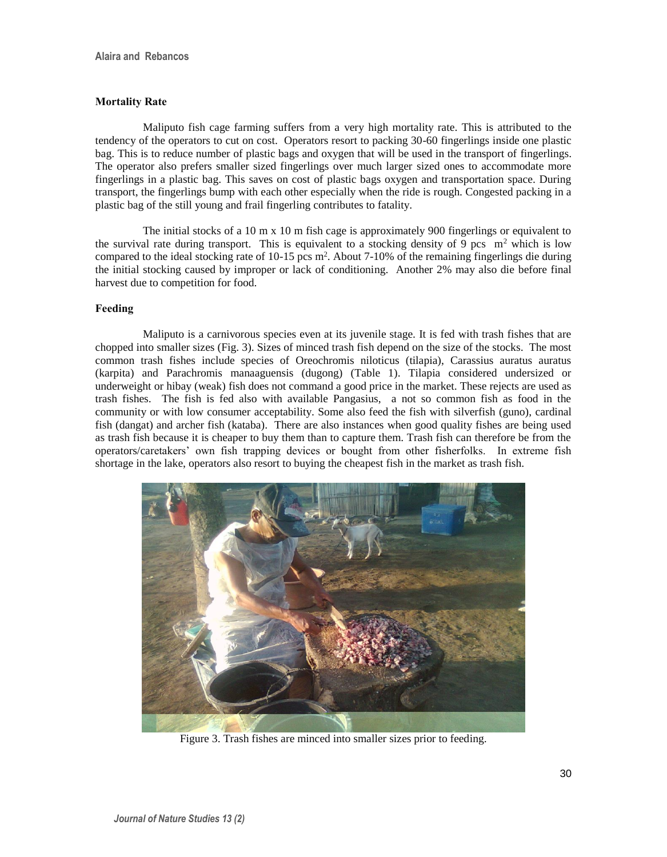## **Mortality Rate**

Maliputo fish cage farming suffers from a very high mortality rate. This is attributed to the tendency of the operators to cut on cost. Operators resort to packing 30-60 fingerlings inside one plastic bag. This is to reduce number of plastic bags and oxygen that will be used in the transport of fingerlings. The operator also prefers smaller sized fingerlings over much larger sized ones to accommodate more fingerlings in a plastic bag. This saves on cost of plastic bags oxygen and transportation space. During transport, the fingerlings bump with each other especially when the ride is rough. Congested packing in a plastic bag of the still young and frail fingerling contributes to fatality.

The initial stocks of a 10 m x 10 m fish cage is approximately 900 fingerlings or equivalent to the survival rate during transport. This is equivalent to a stocking density of 9 pcs  $m<sup>2</sup>$  which is low compared to the ideal stocking rate of  $10-15$  pcs m<sup>2</sup>. About 7-10% of the remaining fingerlings die during the initial stocking caused by improper or lack of conditioning. Another 2% may also die before final harvest due to competition for food.

### **Feeding**

Maliputo is a carnivorous species even at its juvenile stage. It is fed with trash fishes that are chopped into smaller sizes (Fig. 3). Sizes of minced trash fish depend on the size of the stocks. The most common trash fishes include species of Oreochromis niloticus (tilapia), Carassius auratus auratus (karpita) and Parachromis manaaguensis (dugong) (Table 1). Tilapia considered undersized or underweight or hibay (weak) fish does not command a good price in the market. These rejects are used as trash fishes. The fish is fed also with available Pangasius, a not so common fish as food in the community or with low consumer acceptability. Some also feed the fish with silverfish (guno), cardinal fish (dangat) and archer fish (kataba). There are also instances when good quality fishes are being used as trash fish because it is cheaper to buy them than to capture them. Trash fish can therefore be from the operators/caretakers' own fish trapping devices or bought from other fisherfolks. In extreme fish shortage in the lake, operators also resort to buying the cheapest fish in the market as trash fish.



Figure 3. Trash fishes are minced into smaller sizes prior to feeding.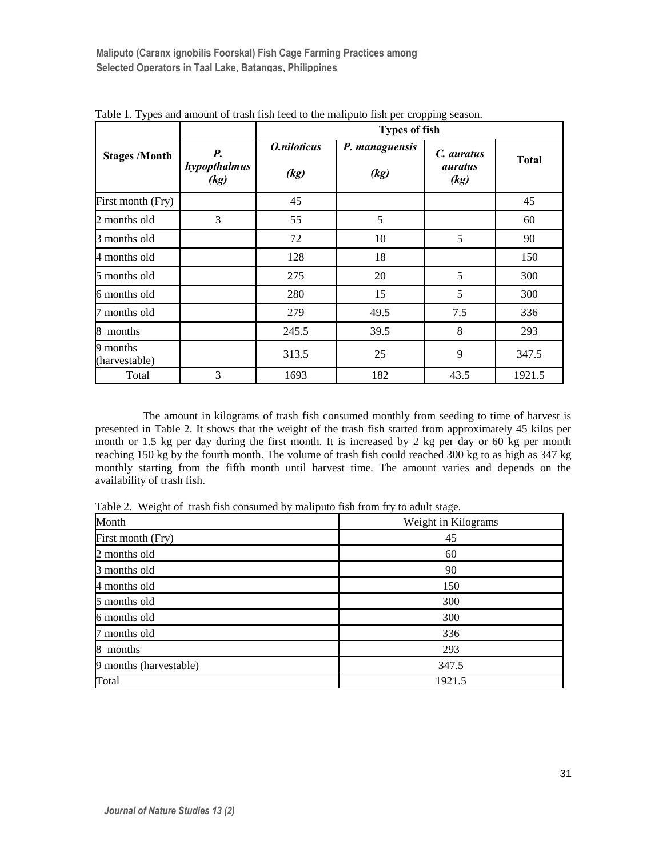|                           |                            | <b>Types of fish</b> |                        |                                      |              |
|---------------------------|----------------------------|----------------------|------------------------|--------------------------------------|--------------|
| <b>Stages /Month</b>      | P.<br>hypopthalmus<br>(kg) | O.niloticus<br>(kg)  | P. managuensis<br>(kg) | C. auratus<br><i>auratus</i><br>(kg) | <b>Total</b> |
| First month (Fry)         |                            | 45                   |                        |                                      | 45           |
| 2 months old              | 3                          | 55                   | 5                      |                                      | 60           |
| 3 months old              |                            | 72                   | 10                     | 5                                    | 90           |
| 4 months old              |                            | 128                  | 18                     |                                      | 150          |
| 5 months old              |                            | 275                  | 20                     | 5                                    | 300          |
| 6 months old              |                            | 280                  | 15                     | 5                                    | 300          |
| 7 months old              |                            | 279                  | 49.5                   | 7.5                                  | 336          |
| months<br>8               |                            | 245.5                | 39.5                   | 8                                    | 293          |
| 9 months<br>(harvestable) |                            | 313.5                | 25                     | 9                                    | 347.5        |
| Total                     | 3                          | 1693                 | 182                    | 43.5                                 | 1921.5       |

Table 1. Types and amount of trash fish feed to the maliputo fish per cropping season.

The amount in kilograms of trash fish consumed monthly from seeding to time of harvest is presented in Table 2. It shows that the weight of the trash fish started from approximately 45 kilos per month or 1.5 kg per day during the first month. It is increased by 2 kg per day or 60 kg per month reaching 150 kg by the fourth month. The volume of trash fish could reached 300 kg to as high as 347 kg monthly starting from the fifth month until harvest time. The amount varies and depends on the availability of trash fish.

Table 2. Weight of trash fish consumed by maliputo fish from fry to adult stage.

| Month                  | Weight in Kilograms |  |
|------------------------|---------------------|--|
| First month (Fry)      | 45                  |  |
| 2 months old           | 60                  |  |
| 3 months old           | 90                  |  |
| 4 months old           | 150                 |  |
| 5 months old           | 300                 |  |
| 6 months old           | 300                 |  |
| 7 months old           | 336                 |  |
| 8<br>months            | 293                 |  |
| 9 months (harvestable) | 347.5               |  |
| Total                  | 1921.5              |  |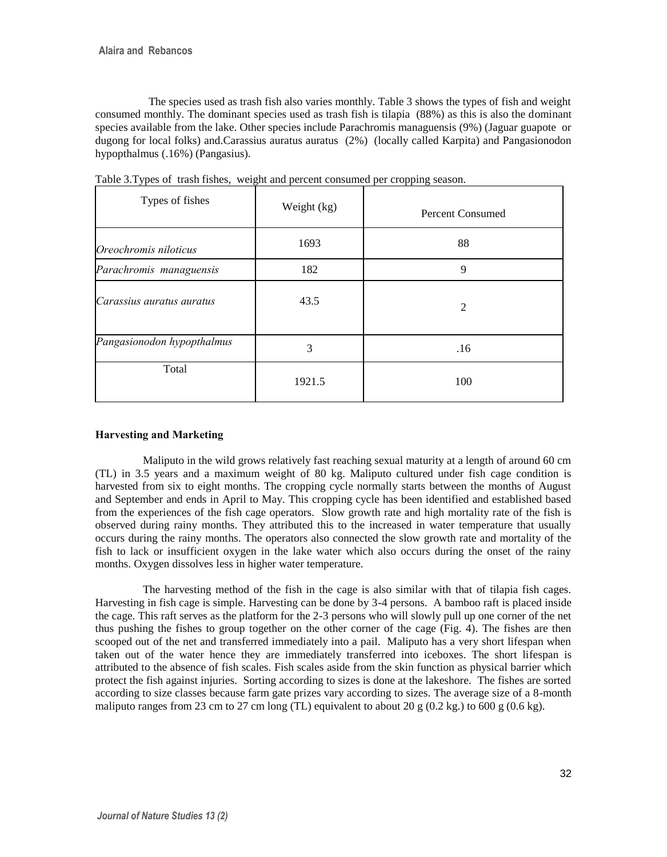The species used as trash fish also varies monthly. Table 3 shows the types of fish and weight consumed monthly. The dominant species used as trash fish is tilapia (88%) as this is also the dominant species available from the lake. Other species include Parachromis managuensis (9%) (Jaguar guapote or dugong for local folks) and.Carassius auratus auratus (2%) (locally called Karpita) and Pangasionodon hypopthalmus (.16%) (Pangasius).

| Types of fishes            | Weight (kg) | <b>Percent Consumed</b> |
|----------------------------|-------------|-------------------------|
| Oreochromis niloticus      | 1693        | 88                      |
| Parachromis managuensis    | 182         | 9                       |
| Carassius auratus auratus  | 43.5        | $\overline{c}$          |
| Pangasionodon hypopthalmus | 3           | .16                     |
| Total                      | 1921.5      | 100                     |

Table 3.Types of trash fishes, weight and percent consumed per cropping season.

## **Harvesting and Marketing**

Maliputo in the wild grows relatively fast reaching sexual maturity at a length of around 60 cm (TL) in 3.5 years and a maximum weight of 80 kg. Maliputo cultured under fish cage condition is harvested from six to eight months. The cropping cycle normally starts between the months of August and September and ends in April to May. This cropping cycle has been identified and established based from the experiences of the fish cage operators. Slow growth rate and high mortality rate of the fish is observed during rainy months. They attributed this to the increased in water temperature that usually occurs during the rainy months. The operators also connected the slow growth rate and mortality of the fish to lack or insufficient oxygen in the lake water which also occurs during the onset of the rainy months. Oxygen dissolves less in higher water temperature.

The harvesting method of the fish in the cage is also similar with that of tilapia fish cages. Harvesting in fish cage is simple. Harvesting can be done by 3-4 persons. A bamboo raft is placed inside the cage. This raft serves as the platform for the 2-3 persons who will slowly pull up one corner of the net thus pushing the fishes to group together on the other corner of the cage (Fig. 4). The fishes are then scooped out of the net and transferred immediately into a pail. Maliputo has a very short lifespan when taken out of the water hence they are immediately transferred into iceboxes. The short lifespan is attributed to the absence of fish scales. Fish scales aside from the skin function as physical barrier which protect the fish against injuries. Sorting according to sizes is done at the lakeshore. The fishes are sorted according to size classes because farm gate prizes vary according to sizes. The average size of a 8-month maliputo ranges from 23 cm to 27 cm long (TL) equivalent to about 20 g (0.2 kg.) to 600 g (0.6 kg).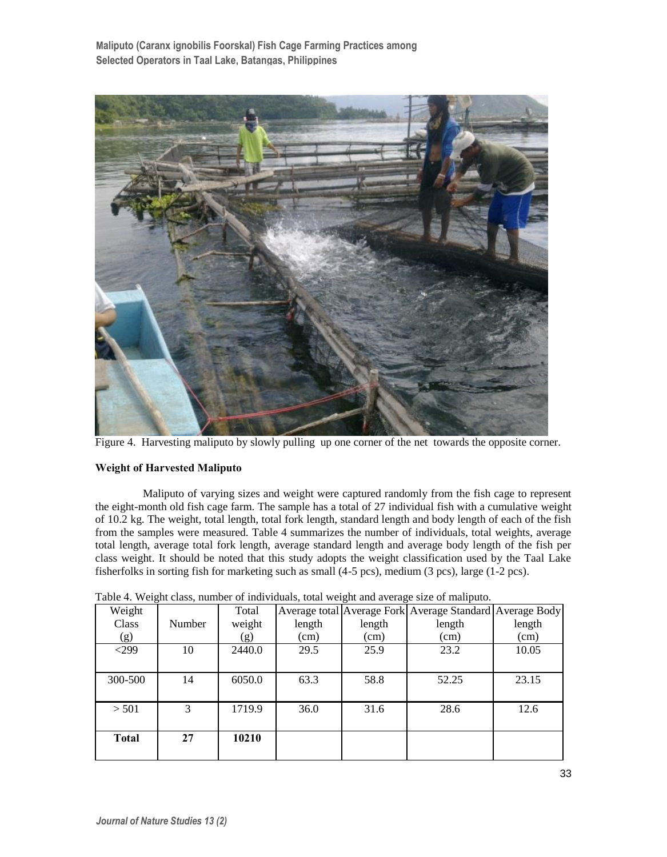

Figure 4. Harvesting maliputo by slowly pulling up one corner of the net towards the opposite corner.

## **Weight of Harvested Maliputo**

Maliputo of varying sizes and weight were captured randomly from the fish cage to represent the eight-month old fish cage farm. The sample has a total of 27 individual fish with a cumulative weight of 10.2 kg. The weight, total length, total fork length, standard length and body length of each of the fish from the samples were measured. Table 4 summarizes the number of individuals, total weights, average total length, average total fork length, average standard length and average body length of the fish per class weight. It should be noted that this study adopts the weight classification used by the Taal Lake fisherfolks in sorting fish for marketing such as small (4-5 pcs), medium (3 pcs), large (1-2 pcs).

| Weight  |        | Total  |        |        | Average total Average Fork Average Standard Average Body |        |
|---------|--------|--------|--------|--------|----------------------------------------------------------|--------|
| Class   | Number | weight | length | length | length                                                   | length |
| (g)     |        | (g)    | (cm)   | (cm)   | (cm)                                                     | (cm)   |
| $299$   | 10     | 2440.0 | 29.5   | 25.9   | 23.2                                                     | 10.05  |
|         |        |        |        |        |                                                          |        |
| 300-500 | 14     | 6050.0 | 63.3   | 58.8   | 52.25                                                    | 23.15  |
|         |        |        |        |        |                                                          |        |
| > 501   | 3      | 1719.9 | 36.0   | 31.6   | 28.6                                                     | 12.6   |
|         |        |        |        |        |                                                          |        |
| Total   | 27     | 10210  |        |        |                                                          |        |
|         |        |        |        |        |                                                          |        |

Table 4. Weight class, number of individuals, total weight and average size of maliputo.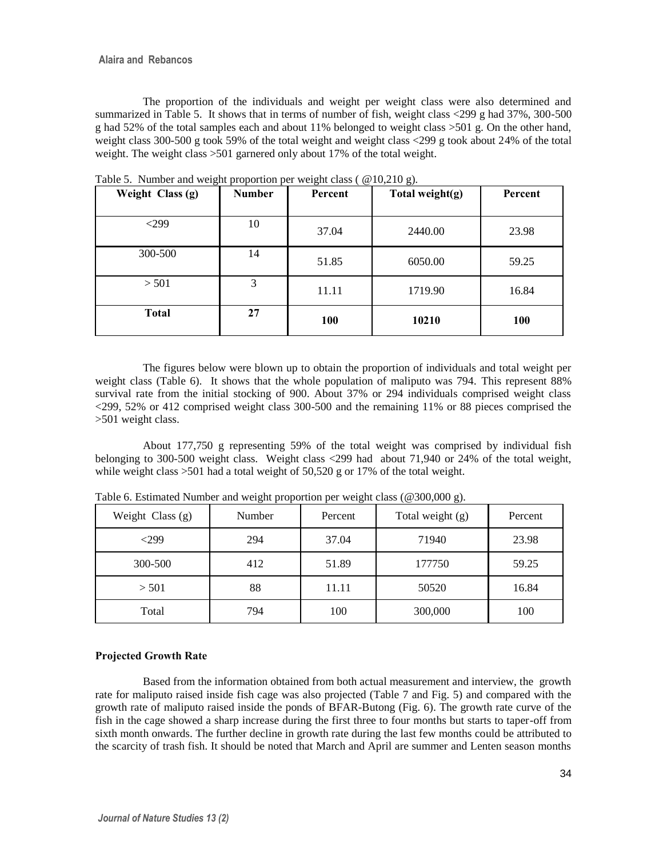The proportion of the individuals and weight per weight class were also determined and summarized in Table 5. It shows that in terms of number of fish, weight class <299 g had 37%, 300-500 g had 52% of the total samples each and about 11% belonged to weight class >501 g. On the other hand, weight class 300-500 g took 59% of the total weight and weight class <299 g took about 24% of the total weight. The weight class >501 garnered only about 17% of the total weight.

| Weight Class (g) | <b>Number</b> | Percent | Total weight(g) | Percent |
|------------------|---------------|---------|-----------------|---------|
| $299$            | 10            | 37.04   | 2440.00         | 23.98   |
| 300-500          | 14            | 51.85   | 6050.00         | 59.25   |
| > 501            | 3             | 11.11   | 1719.90         | 16.84   |
| <b>Total</b>     | 27            | 100     | 10210           | 100     |

Table 5. Number and weight proportion per weight class ( @10,210 g).

The figures below were blown up to obtain the proportion of individuals and total weight per weight class (Table 6). It shows that the whole population of maliputo was 794. This represent 88% survival rate from the initial stocking of 900. About 37% or 294 individuals comprised weight class <299, 52% or 412 comprised weight class 300-500 and the remaining 11% or 88 pieces comprised the >501 weight class.

About 177,750 g representing 59% of the total weight was comprised by individual fish belonging to 300-500 weight class. Weight class <299 had about 71,940 or 24% of the total weight, while weight class  $>501$  had a total weight of 50,520 g or 17% of the total weight.

| Weight Class (g) | Number | Percent | Total weight $(g)$ | Percent |
|------------------|--------|---------|--------------------|---------|
| $<$ 299          | 294    | 37.04   | 71940              | 23.98   |
| 300-500          | 412    | 51.89   | 177750             | 59.25   |
| > 501            | 88     | 11.11   | 50520              | 16.84   |
| Total            | 794    | 100     | 300,000            | 100     |

Table 6. Estimated Number and weight proportion per weight class (@300,000 g).

## **Projected Growth Rate**

Based from the information obtained from both actual measurement and interview, the growth rate for maliputo raised inside fish cage was also projected (Table 7 and Fig. 5) and compared with the growth rate of maliputo raised inside the ponds of BFAR-Butong (Fig. 6). The growth rate curve of the fish in the cage showed a sharp increase during the first three to four months but starts to taper-off from sixth month onwards. The further decline in growth rate during the last few months could be attributed to the scarcity of trash fish. It should be noted that March and April are summer and Lenten season months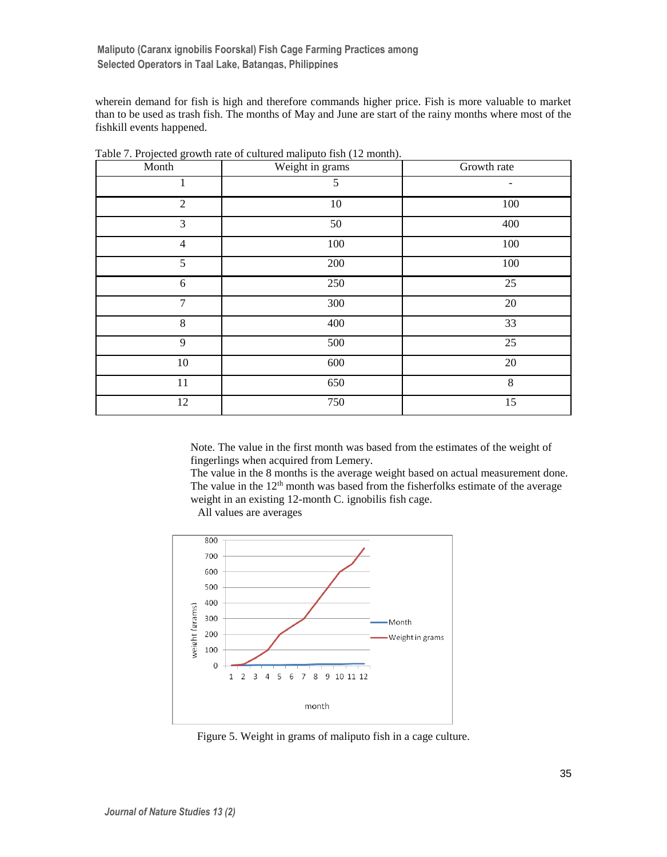wherein demand for fish is high and therefore commands higher price. Fish is more valuable to market than to be used as trash fish. The months of May and June are start of the rainy months where most of the fishkill events happened.

| Month          | Weight in grams | Growth rate |
|----------------|-----------------|-------------|
| 1              | 5               |             |
| 2              | $10\,$          | $100\,$     |
| 3              | $50\,$          | 400         |
| $\overline{4}$ | $100\,$         | $100\,$     |
| 5              | 200             | $100\,$     |
| 6              | 250             | 25          |
| $\overline{7}$ | 300             | $20\,$      |
| $\,8\,$        | 400             | 33          |
| 9              | 500             | 25          |
| 10             | 600             | 20          |
| 11             | 650             | $\,8\,$     |
| 12             | 750             | 15          |

Table 7. Projected growth rate of cultured maliputo fish (12 month).

Note. The value in the first month was based from the estimates of the weight of fingerlings when acquired from Lemery.

The value in the 8 months is the average weight based on actual measurement done. The value in the  $12<sup>th</sup>$  month was based from the fisherfolks estimate of the average weight in an existing 12-month C. ignobilis fish cage.

All values are averages



Figure 5. Weight in grams of maliputo fish in a cage culture.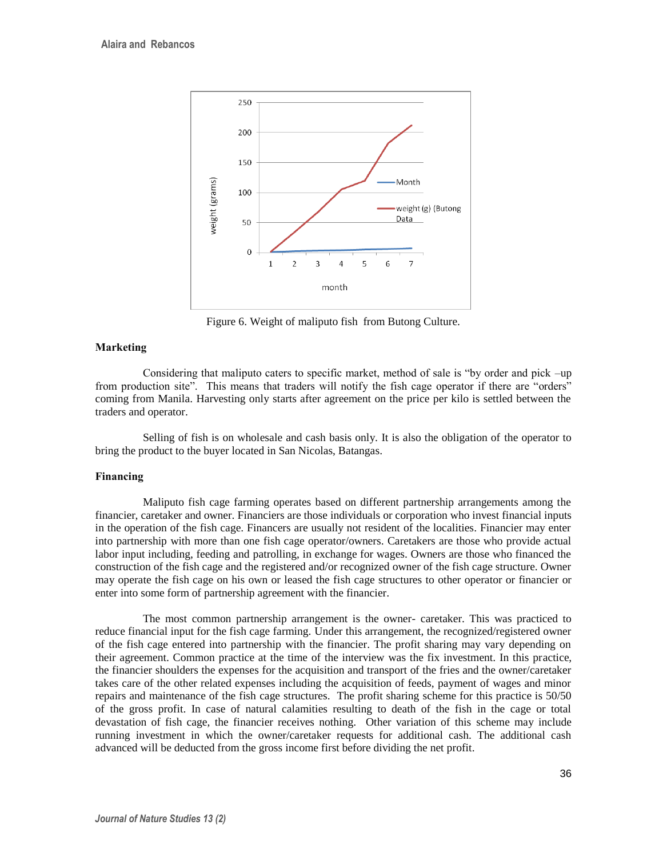

Figure 6. Weight of maliputo fish from Butong Culture.

## **Marketing**

Considering that maliputo caters to specific market, method of sale is "by order and pick –up from production site". This means that traders will notify the fish cage operator if there are "orders" coming from Manila. Harvesting only starts after agreement on the price per kilo is settled between the traders and operator.

Selling of fish is on wholesale and cash basis only. It is also the obligation of the operator to bring the product to the buyer located in San Nicolas, Batangas.

## **Financing**

Maliputo fish cage farming operates based on different partnership arrangements among the financier, caretaker and owner. Financiers are those individuals or corporation who invest financial inputs in the operation of the fish cage. Financers are usually not resident of the localities. Financier may enter into partnership with more than one fish cage operator/owners. Caretakers are those who provide actual labor input including, feeding and patrolling, in exchange for wages. Owners are those who financed the construction of the fish cage and the registered and/or recognized owner of the fish cage structure. Owner may operate the fish cage on his own or leased the fish cage structures to other operator or financier or enter into some form of partnership agreement with the financier.

The most common partnership arrangement is the owner- caretaker. This was practiced to reduce financial input for the fish cage farming. Under this arrangement, the recognized/registered owner of the fish cage entered into partnership with the financier. The profit sharing may vary depending on their agreement. Common practice at the time of the interview was the fix investment. In this practice, the financier shoulders the expenses for the acquisition and transport of the fries and the owner/caretaker takes care of the other related expenses including the acquisition of feeds, payment of wages and minor repairs and maintenance of the fish cage structures. The profit sharing scheme for this practice is 50/50 of the gross profit. In case of natural calamities resulting to death of the fish in the cage or total devastation of fish cage, the financier receives nothing. Other variation of this scheme may include running investment in which the owner/caretaker requests for additional cash. The additional cash advanced will be deducted from the gross income first before dividing the net profit.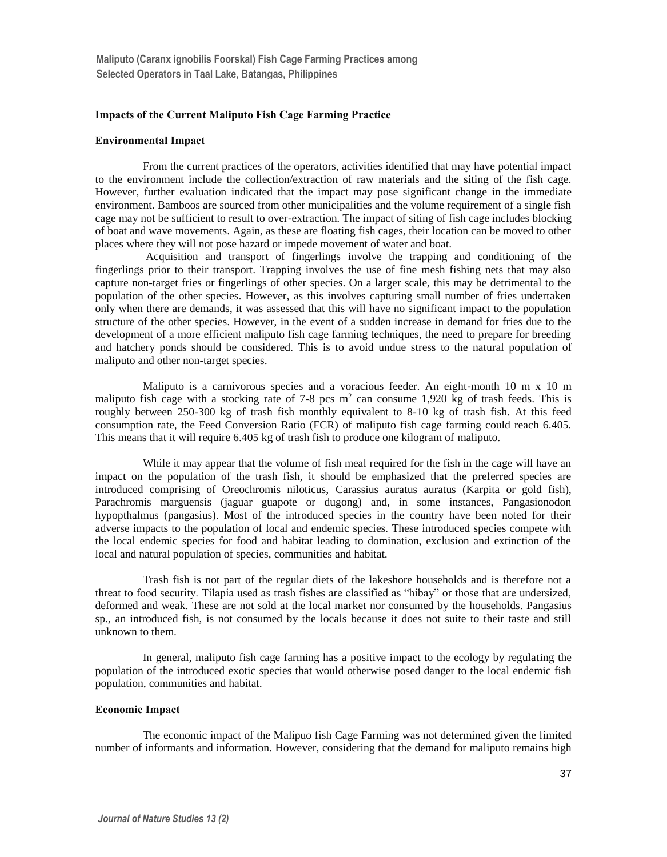## **Impacts of the Current Maliputo Fish Cage Farming Practice**

### **Environmental Impact**

From the current practices of the operators, activities identified that may have potential impact to the environment include the collection/extraction of raw materials and the siting of the fish cage. However, further evaluation indicated that the impact may pose significant change in the immediate environment. Bamboos are sourced from other municipalities and the volume requirement of a single fish cage may not be sufficient to result to over-extraction. The impact of siting of fish cage includes blocking of boat and wave movements. Again, as these are floating fish cages, their location can be moved to other places where they will not pose hazard or impede movement of water and boat.

Acquisition and transport of fingerlings involve the trapping and conditioning of the fingerlings prior to their transport. Trapping involves the use of fine mesh fishing nets that may also capture non-target fries or fingerlings of other species. On a larger scale, this may be detrimental to the population of the other species. However, as this involves capturing small number of fries undertaken only when there are demands, it was assessed that this will have no significant impact to the population structure of the other species. However, in the event of a sudden increase in demand for fries due to the development of a more efficient maliputo fish cage farming techniques, the need to prepare for breeding and hatchery ponds should be considered. This is to avoid undue stress to the natural population of maliputo and other non-target species.

Maliputo is a carnivorous species and a voracious feeder. An eight-month 10 m x 10 m maliputo fish cage with a stocking rate of 7-8 pcs  $m<sup>2</sup>$  can consume 1,920 kg of trash feeds. This is roughly between 250-300 kg of trash fish monthly equivalent to 8-10 kg of trash fish. At this feed consumption rate, the Feed Conversion Ratio (FCR) of maliputo fish cage farming could reach 6.405. This means that it will require 6.405 kg of trash fish to produce one kilogram of maliputo.

While it may appear that the volume of fish meal required for the fish in the cage will have an impact on the population of the trash fish, it should be emphasized that the preferred species are introduced comprising of Oreochromis niloticus, Carassius auratus auratus (Karpita or gold fish), Parachromis marguensis (jaguar guapote or dugong) and, in some instances, Pangasionodon hypopthalmus (pangasius). Most of the introduced species in the country have been noted for their adverse impacts to the population of local and endemic species. These introduced species compete with the local endemic species for food and habitat leading to domination, exclusion and extinction of the local and natural population of species, communities and habitat.

Trash fish is not part of the regular diets of the lakeshore households and is therefore not a threat to food security. Tilapia used as trash fishes are classified as "hibay" or those that are undersized, deformed and weak. These are not sold at the local market nor consumed by the households. Pangasius sp., an introduced fish, is not consumed by the locals because it does not suite to their taste and still unknown to them.

In general, maliputo fish cage farming has a positive impact to the ecology by regulating the population of the introduced exotic species that would otherwise posed danger to the local endemic fish population, communities and habitat.

### **Economic Impact**

The economic impact of the Malipuo fish Cage Farming was not determined given the limited number of informants and information. However, considering that the demand for maliputo remains high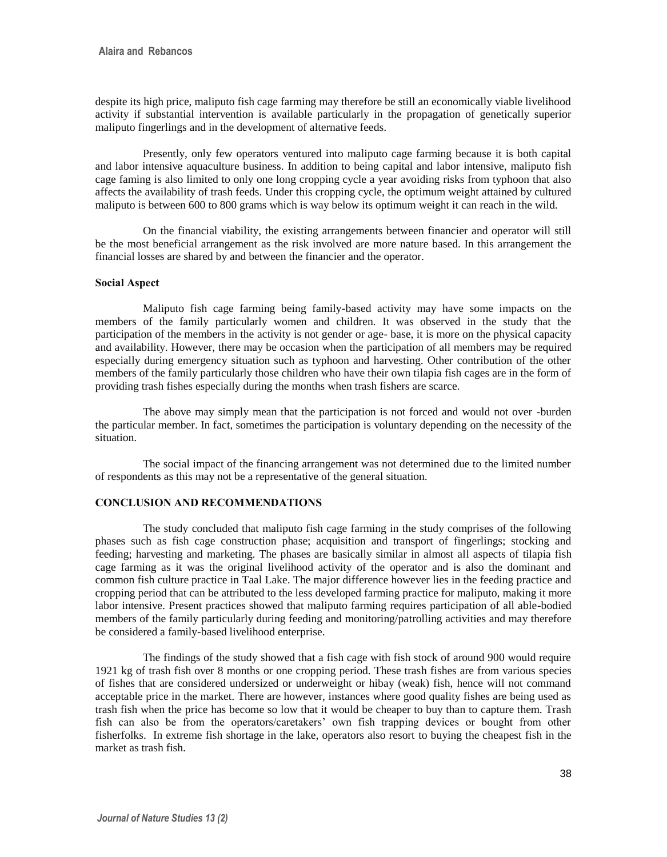despite its high price, maliputo fish cage farming may therefore be still an economically viable livelihood activity if substantial intervention is available particularly in the propagation of genetically superior maliputo fingerlings and in the development of alternative feeds.

Presently, only few operators ventured into maliputo cage farming because it is both capital and labor intensive aquaculture business. In addition to being capital and labor intensive, maliputo fish cage faming is also limited to only one long cropping cycle a year avoiding risks from typhoon that also affects the availability of trash feeds. Under this cropping cycle, the optimum weight attained by cultured maliputo is between 600 to 800 grams which is way below its optimum weight it can reach in the wild.

On the financial viability, the existing arrangements between financier and operator will still be the most beneficial arrangement as the risk involved are more nature based. In this arrangement the financial losses are shared by and between the financier and the operator.

## **Social Aspect**

Maliputo fish cage farming being family-based activity may have some impacts on the members of the family particularly women and children. It was observed in the study that the participation of the members in the activity is not gender or age- base, it is more on the physical capacity and availability. However, there may be occasion when the participation of all members may be required especially during emergency situation such as typhoon and harvesting. Other contribution of the other members of the family particularly those children who have their own tilapia fish cages are in the form of providing trash fishes especially during the months when trash fishers are scarce.

The above may simply mean that the participation is not forced and would not over -burden the particular member. In fact, sometimes the participation is voluntary depending on the necessity of the situation.

The social impact of the financing arrangement was not determined due to the limited number of respondents as this may not be a representative of the general situation.

## **CONCLUSION AND RECOMMENDATIONS**

The study concluded that maliputo fish cage farming in the study comprises of the following phases such as fish cage construction phase; acquisition and transport of fingerlings; stocking and feeding; harvesting and marketing. The phases are basically similar in almost all aspects of tilapia fish cage farming as it was the original livelihood activity of the operator and is also the dominant and common fish culture practice in Taal Lake. The major difference however lies in the feeding practice and cropping period that can be attributed to the less developed farming practice for maliputo, making it more labor intensive. Present practices showed that maliputo farming requires participation of all able-bodied members of the family particularly during feeding and monitoring/patrolling activities and may therefore be considered a family-based livelihood enterprise.

The findings of the study showed that a fish cage with fish stock of around 900 would require 1921 kg of trash fish over 8 months or one cropping period. These trash fishes are from various species of fishes that are considered undersized or underweight or hibay (weak) fish, hence will not command acceptable price in the market. There are however, instances where good quality fishes are being used as trash fish when the price has become so low that it would be cheaper to buy than to capture them. Trash fish can also be from the operators/caretakers' own fish trapping devices or bought from other fisherfolks. In extreme fish shortage in the lake, operators also resort to buying the cheapest fish in the market as trash fish.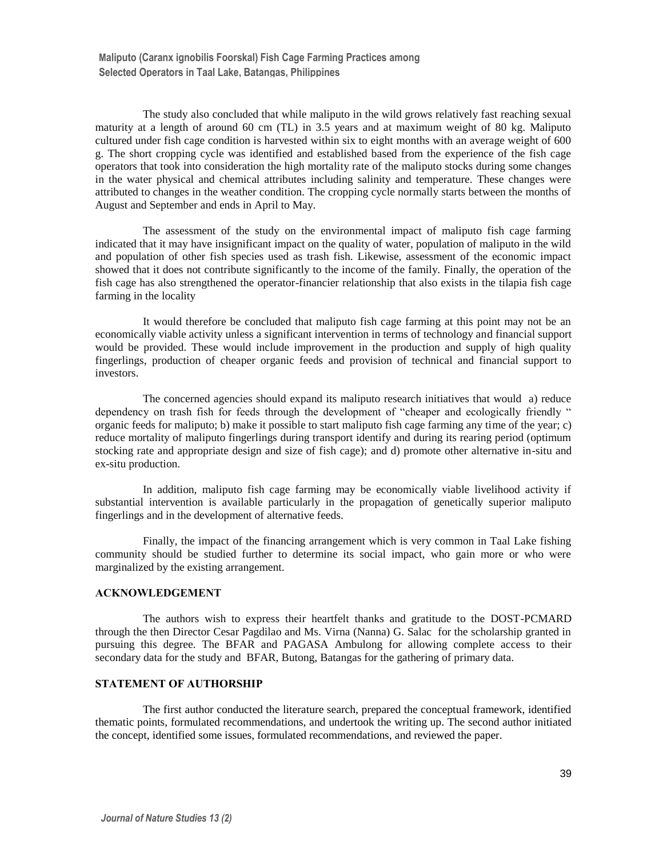The study also concluded that while maliputo in the wild grows relatively fast reaching sexual maturity at a length of around 60 cm (TL) in 3.5 years and at maximum weight of 80 kg. Maliputo cultured under fish cage condition is harvested within six to eight months with an average weight of 600 g. The short cropping cycle was identified and established based from the experience of the fish cage operators that took into consideration the high mortality rate of the maliputo stocks during some changes in the water physical and chemical attributes including salinity and temperature. These changes were attributed to changes in the weather condition. The cropping cycle normally starts between the months of August and September and ends in April to May.

The assessment of the study on the environmental impact of maliputo fish cage farming indicated that it may have insignificant impact on the quality of water, population of maliputo in the wild and population of other fish species used as trash fish. Likewise, assessment of the economic impact showed that it does not contribute significantly to the income of the family. Finally, the operation of the fish cage has also strengthened the operator-financier relationship that also exists in the tilapia fish cage farming in the locality

It would therefore be concluded that maliputo fish cage farming at this point may not be an economically viable activity unless a significant intervention in terms of technology and financial support would be provided. These would include improvement in the production and supply of high quality fingerlings, production of cheaper organic feeds and provision of technical and financial support to investors.

The concerned agencies should expand its maliputo research initiatives that would a) reduce dependency on trash fish for feeds through the development of "cheaper and ecologically friendly " organic feeds for maliputo; b) make it possible to start maliputo fish cage farming any time of the year; c) reduce mortality of maliputo fingerlings during transport identify and during its rearing period (optimum stocking rate and appropriate design and size of fish cage); and d) promote other alternative in-situ and ex-situ production.

In addition, maliputo fish cage farming may be economically viable livelihood activity if substantial intervention is available particularly in the propagation of genetically superior maliputo fingerlings and in the development of alternative feeds.

Finally, the impact of the financing arrangement which is very common in Taal Lake fishing community should be studied further to determine its social impact, who gain more or who were marginalized by the existing arrangement.

### **ACKNOWLEDGEMENT**

The authors wish to express their heartfelt thanks and gratitude to the DOST-PCMARD through the then Director Cesar Pagdilao and Ms. Virna (Nanna) G. Salac for the scholarship granted in pursuing this degree. The BFAR and PAGASA Ambulong for allowing complete access to their secondary data for the study and BFAR, Butong, Batangas for the gathering of primary data.

### **STATEMENT OF AUTHORSHIP**

The first author conducted the literature search, prepared the conceptual framework, identified thematic points, formulated recommendations, and undertook the writing up. The second author initiated the concept, identified some issues, formulated recommendations, and reviewed the paper.